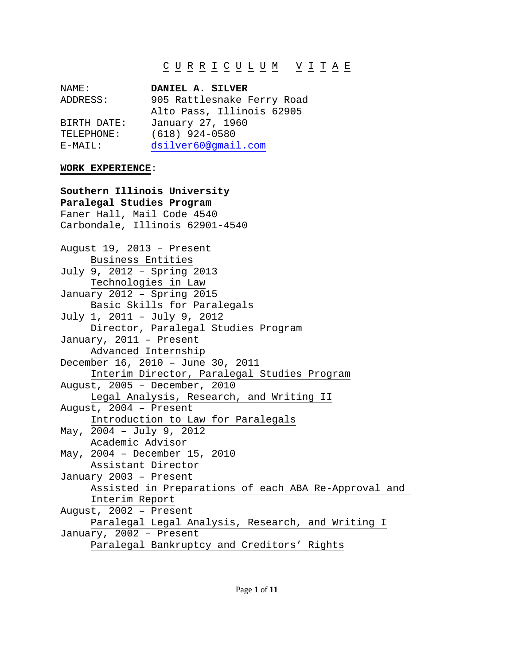# C U R R I C U L U M V I T A E

| DANIEL A. SILVER           |
|----------------------------|
| 905 Rattlesnake Ferry Road |
| Alto Pass, Illinois 62905  |
| January 27, 1960           |
| $(618)$ 924-0580           |
| dsilver60@qmail.com        |
|                            |

### **WORK EXPERIENCE**:

**Southern Illinois University Paralegal Studies Program** Faner Hall, Mail Code 4540 Carbondale, Illinois 62901-4540 August 19, 2013 – Present Business Entities July 9, 2012 – Spring 2013 Technologies in Law January 2012 – Spring 2015 Basic Skills for Paralegals July 1, 2011 – July 9, 2012 Director, Paralegal Studies Program January, 2011 – Present Advanced Internship December 16, 2010 – June 30, 2011 Interim Director, Paralegal Studies Program August, 2005 – December, 2010 Legal Analysis, Research, and Writing II August,  $2004$  – Present Introduction to Law for Paralegals May, 2004 – July 9, 2012 Academic Advisor May, 2004 – December 15, 2010 Assistant Director January 2003 – Present Assisted in Preparations of each ABA Re-Approval and Interim Report August, 2002 – Present Paralegal Legal Analysis, Research, and Writing I January, 2002 – Present Paralegal Bankruptcy and Creditors' Rights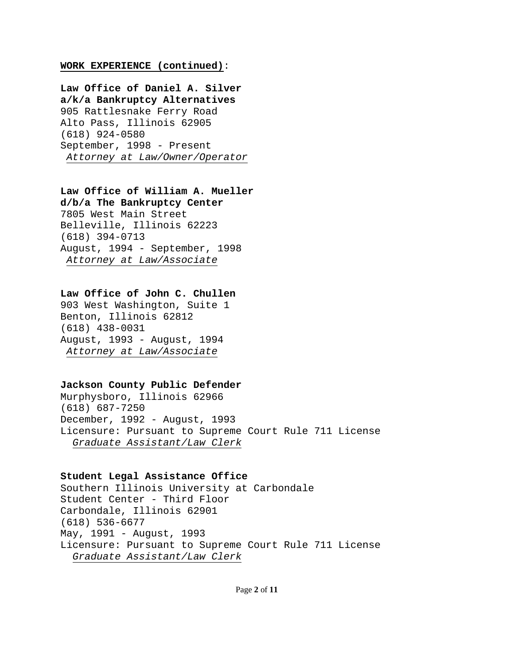### **WORK EXPERIENCE (continued)**:

**Law Office of Daniel A. Silver a/k/a Bankruptcy Alternatives** 905 Rattlesnake Ferry Road Alto Pass, Illinois 62905 (618) 924-0580 September, 1998 - Present *Attorney at Law/Owner/Operator*

# **Law Office of William A. Mueller**

**d/b/a The Bankruptcy Center** 7805 West Main Street Belleville, Illinois 62223 (618) 394-0713 August, 1994 - September, 1998 *Attorney at Law/Associate*

## **Law Office of John C. Chullen**

903 West Washington, Suite 1 Benton, Illinois 62812 (618) 438-0031 August, 1993 - August, 1994 *Attorney at Law/Associate*

## **Jackson County Public Defender**

Murphysboro, Illinois 62966 (618) 687-7250 December, 1992 - August, 1993 Licensure: Pursuant to Supreme Court Rule 711 License *Graduate Assistant/Law Clerk*

### **Student Legal Assistance Office**

Southern Illinois University at Carbondale Student Center - Third Floor Carbondale, Illinois 62901 (618) 536-6677 May, 1991 - August, 1993 Licensure: Pursuant to Supreme Court Rule 711 License *Graduate Assistant/Law Clerk*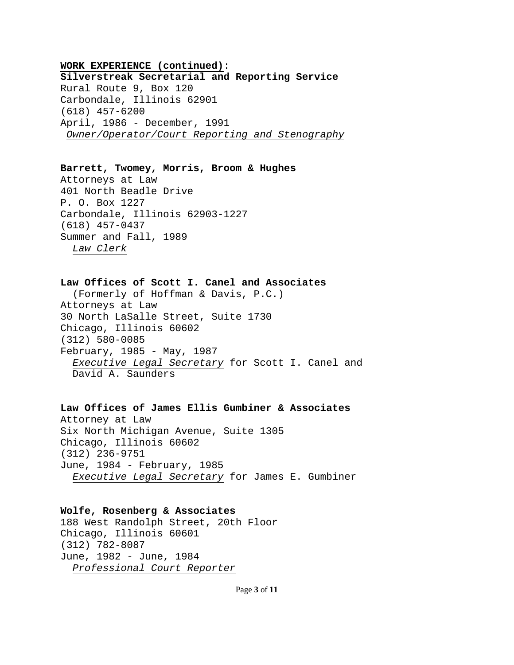# **WORK EXPERIENCE (continued)**: **Silverstreak Secretarial and Reporting Service** Rural Route 9, Box 120 Carbondale, Illinois 62901 (618) 457-6200 April, 1986 - December, 1991 *Owner/Operator/Court Reporting and Stenography*

### **Barrett, Twomey, Morris, Broom & Hughes**

Attorneys at Law 401 North Beadle Drive P. O. Box 1227 Carbondale, Illinois 62903-1227 (618) 457-0437 Summer and Fall, 1989 *Law Clerk*

# **Law Offices of Scott I. Canel and Associates**

 (Formerly of Hoffman & Davis, P.C.) Attorneys at Law 30 North LaSalle Street, Suite 1730 Chicago, Illinois 60602 (312) 580-0085 February, 1985 - May, 1987 *Executive Legal Secretary* for Scott I. Canel and David A. Saunders

# **Law Offices of James Ellis Gumbiner & Associates** Attorney at Law Six North Michigan Avenue, Suite 1305 Chicago, Illinois 60602 (312) 236-9751 June, 1984 - February, 1985

# *Executive Legal Secretary* for James E. Gumbiner

## **Wolfe, Rosenberg & Associates**

188 West Randolph Street, 20th Floor Chicago, Illinois 60601 (312) 782-8087 June, 1982 - June, 1984 *Professional Court Reporter*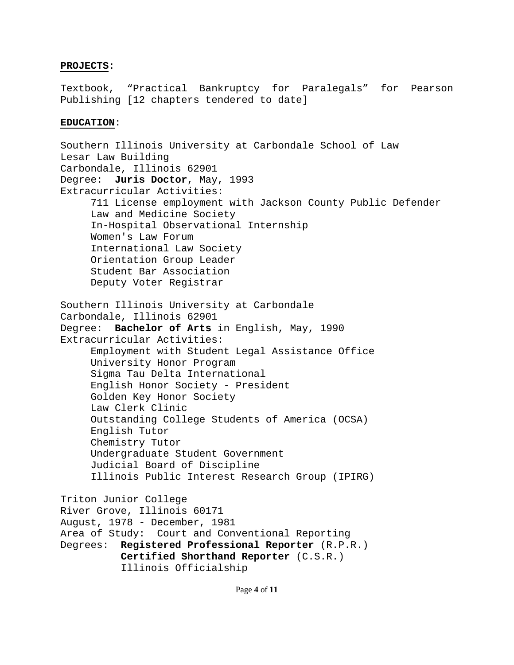# **PROJECTS**:

Textbook, "Practical Bankruptcy for Paralegals" for Pearson Publishing [12 chapters tendered to date]

# **EDUCATION**:

Southern Illinois University at Carbondale School of Law Lesar Law Building Carbondale, Illinois 62901 Degree: **Juris Doctor**, May, 1993 Extracurricular Activities: 711 License employment with Jackson County Public Defender Law and Medicine Society In-Hospital Observational Internship Women's Law Forum International Law Society Orientation Group Leader Student Bar Association Deputy Voter Registrar Southern Illinois University at Carbondale Carbondale, Illinois 62901 Degree: **Bachelor of Arts** in English, May, 1990 Extracurricular Activities: Employment with Student Legal Assistance Office University Honor Program Sigma Tau Delta International English Honor Society - President Golden Key Honor Society Law Clerk Clinic Outstanding College Students of America (OCSA) English Tutor Chemistry Tutor Undergraduate Student Government Judicial Board of Discipline Illinois Public Interest Research Group (IPIRG) Triton Junior College River Grove, Illinois 60171 August, 1978 - December, 1981 Area of Study: Court and Conventional Reporting Degrees: **Registered Professional Reporter** (R.P.R.) **Certified Shorthand Reporter** (C.S.R.) Illinois Officialship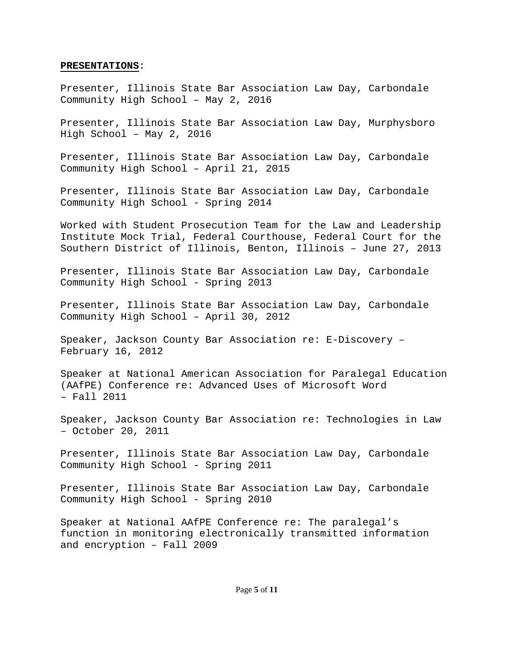### **PRESENTATIONS**:

Presenter, Illinois State Bar Association Law Day, Carbondale Community High School – May 2, 2016

Presenter, Illinois State Bar Association Law Day, Murphysboro High School – May 2, 2016

Presenter, Illinois State Bar Association Law Day, Carbondale Community High School – April 21, 2015

Presenter, Illinois State Bar Association Law Day, Carbondale Community High School - Spring 2014

Worked with Student Prosecution Team for the Law and Leadership Institute Mock Trial, Federal Courthouse, Federal Court for the Southern District of Illinois, Benton, Illinois – June 27, 2013

Presenter, Illinois State Bar Association Law Day, Carbondale Community High School - Spring 2013

Presenter, Illinois State Bar Association Law Day, Carbondale Community High School – April 30, 2012

Speaker, Jackson County Bar Association re: E-Discovery – February 16, 2012

Speaker at National American Association for Paralegal Education (AAfPE) Conference re: Advanced Uses of Microsoft Word – Fall 2011

Speaker, Jackson County Bar Association re: Technologies in Law – October 20, 2011

Presenter, Illinois State Bar Association Law Day, Carbondale Community High School - Spring 2011

Presenter, Illinois State Bar Association Law Day, Carbondale Community High School - Spring 2010

Speaker at National AAfPE Conference re: The paralegal's function in monitoring electronically transmitted information and encryption – Fall 2009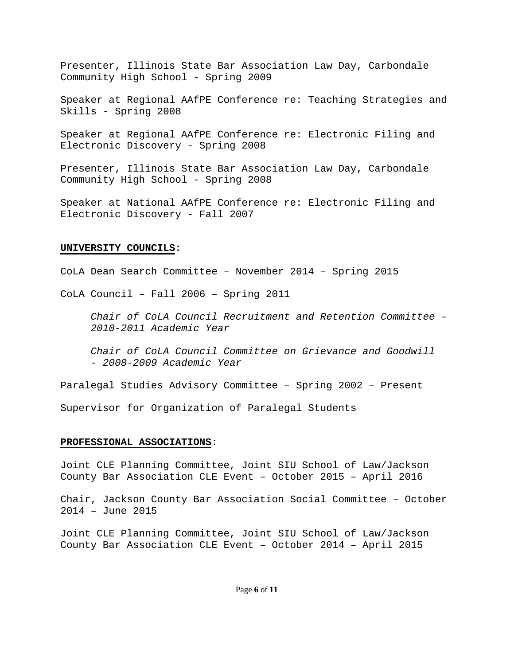Presenter, Illinois State Bar Association Law Day, Carbondale Community High School - Spring 2009

Speaker at Regional AAfPE Conference re: Teaching Strategies and Skills - Spring 2008

Speaker at Regional AAfPE Conference re: Electronic Filing and Electronic Discovery - Spring 2008

Presenter, Illinois State Bar Association Law Day, Carbondale Community High School - Spring 2008

Speaker at National AAfPE Conference re: Electronic Filing and Electronic Discovery - Fall 2007

## **UNIVERSITY COUNCILS:**

CoLA Dean Search Committee – November 2014 – Spring 2015

CoLA Council – Fall 2006 – Spring 2011

*Chair of CoLA Council Recruitment and Retention Committee – 2010-2011 Academic Year*

*Chair of CoLA Council Committee on Grievance and Goodwill - 2008-2009 Academic Year*

Paralegal Studies Advisory Committee – Spring 2002 – Present

Supervisor for Organization of Paralegal Students

### **PROFESSIONAL ASSOCIATIONS**:

Joint CLE Planning Committee, Joint SIU School of Law/Jackson County Bar Association CLE Event – October 2015 – April 2016

Chair, Jackson County Bar Association Social Committee – October 2014 – June 2015

Joint CLE Planning Committee, Joint SIU School of Law/Jackson County Bar Association CLE Event – October 2014 – April 2015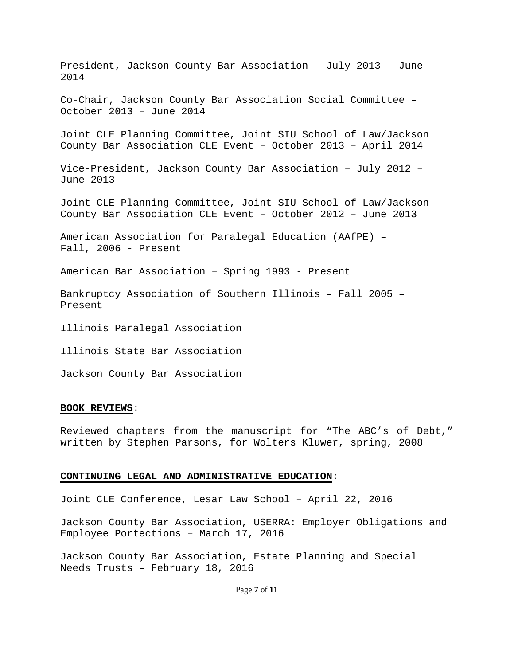President, Jackson County Bar Association – July 2013 – June 2014 Co-Chair, Jackson County Bar Association Social Committee – October 2013 – June 2014 Joint CLE Planning Committee, Joint SIU School of Law/Jackson County Bar Association CLE Event – October 2013 – April 2014 Vice-President, Jackson County Bar Association – July 2012 – June 2013 Joint CLE Planning Committee, Joint SIU School of Law/Jackson County Bar Association CLE Event – October 2012 – June 2013 American Association for Paralegal Education (AAfPE) – Fall, 2006 - Present American Bar Association – Spring 1993 - Present Bankruptcy Association of Southern Illinois – Fall 2005 – Present Illinois Paralegal Association Illinois State Bar Association

#### **BOOK REVIEWS**:

Jackson County Bar Association

Reviewed chapters from the manuscript for "The ABC's of Debt," written by Stephen Parsons, for Wolters Kluwer, spring, 2008

### **CONTINUING LEGAL AND ADMINISTRATIVE EDUCATION**:

Joint CLE Conference, Lesar Law School – April 22, 2016

Jackson County Bar Association, USERRA: Employer Obligations and Employee Portections – March 17, 2016

Jackson County Bar Association, Estate Planning and Special Needs Trusts – February 18, 2016

### Page **7** of **11**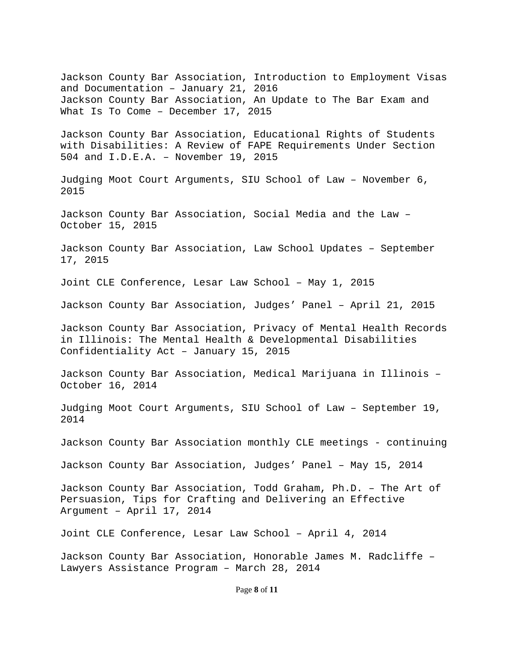Page **8** of **11** Jackson County Bar Association, Introduction to Employment Visas and Documentation – January 21, 2016 Jackson County Bar Association, An Update to The Bar Exam and What Is To Come – December 17, 2015 Jackson County Bar Association, Educational Rights of Students with Disabilities: A Review of FAPE Requirements Under Section 504 and I.D.E.A. – November 19, 2015 Judging Moot Court Arguments, SIU School of Law – November 6, 2015 Jackson County Bar Association, Social Media and the Law – October 15, 2015 Jackson County Bar Association, Law School Updates – September 17, 2015 Joint CLE Conference, Lesar Law School – May 1, 2015 Jackson County Bar Association, Judges' Panel – April 21, 2015 Jackson County Bar Association, Privacy of Mental Health Records in Illinois: The Mental Health & Developmental Disabilities Confidentiality Act – January 15, 2015 Jackson County Bar Association, Medical Marijuana in Illinois – October 16, 2014 Judging Moot Court Arguments, SIU School of Law – September 19, 2014 Jackson County Bar Association monthly CLE meetings - continuing Jackson County Bar Association, Judges' Panel – May 15, 2014 Jackson County Bar Association, Todd Graham, Ph.D. – The Art of Persuasion, Tips for Crafting and Delivering an Effective Argument – April 17, 2014 Joint CLE Conference, Lesar Law School – April 4, 2014 Jackson County Bar Association, Honorable James M. Radcliffe – Lawyers Assistance Program – March 28, 2014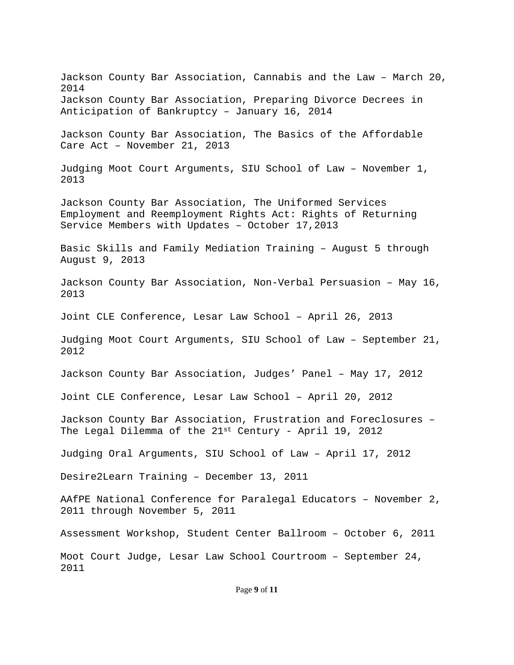Jackson County Bar Association, Cannabis and the Law – March 20, 2014 Jackson County Bar Association, Preparing Divorce Decrees in Anticipation of Bankruptcy – January 16, 2014 Jackson County Bar Association, The Basics of the Affordable Care Act – November 21, 2013 Judging Moot Court Arguments, SIU School of Law – November 1, 2013 Jackson County Bar Association, The Uniformed Services Employment and Reemployment Rights Act: Rights of Returning Service Members with Updates – October 17,2013 Basic Skills and Family Mediation Training – August 5 through August 9, 2013 Jackson County Bar Association, Non-Verbal Persuasion – May 16, 2013 Joint CLE Conference, Lesar Law School – April 26, 2013 Judging Moot Court Arguments, SIU School of Law – September 21, 2012 Jackson County Bar Association, Judges' Panel – May 17, 2012 Joint CLE Conference, Lesar Law School – April 20, 2012 Jackson County Bar Association, Frustration and Foreclosures – The Legal Dilemma of the  $21^{st}$  Century - April 19, 2012 Judging Oral Arguments, SIU School of Law – April 17, 2012 Desire2Learn Training – December 13, 2011 AAfPE National Conference for Paralegal Educators – November 2, 2011 through November 5, 2011 Assessment Workshop, Student Center Ballroom – October 6, 2011 Moot Court Judge, Lesar Law School Courtroom – September 24, 2011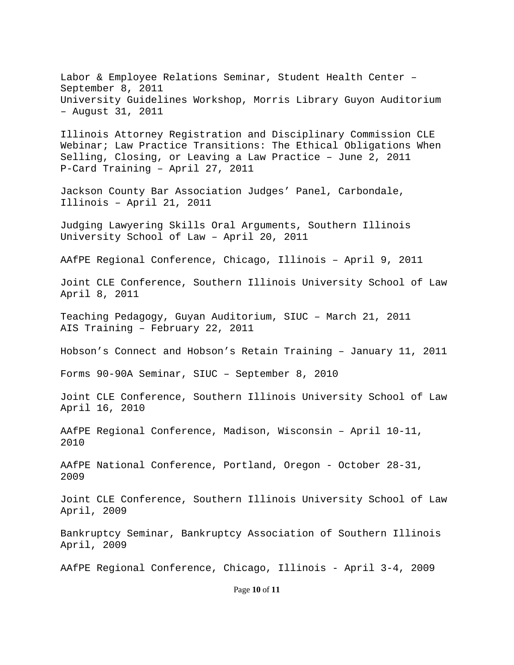Labor & Employee Relations Seminar, Student Health Center – September 8, 2011 University Guidelines Workshop, Morris Library Guyon Auditorium – August 31, 2011

Illinois Attorney Registration and Disciplinary Commission CLE Webinar; Law Practice Transitions: The Ethical Obligations When Selling, Closing, or Leaving a Law Practice – June 2, 2011 P-Card Training – April 27, 2011

Jackson County Bar Association Judges' Panel, Carbondale, Illinois – April 21, 2011

Judging Lawyering Skills Oral Arguments, Southern Illinois University School of Law – April 20, 2011

AAfPE Regional Conference, Chicago, Illinois – April 9, 2011

Joint CLE Conference, Southern Illinois University School of Law April 8, 2011

Teaching Pedagogy, Guyan Auditorium, SIUC – March 21, 2011 AIS Training – February 22, 2011

Hobson's Connect and Hobson's Retain Training – January 11, 2011

Forms 90-90A Seminar, SIUC – September 8, 2010

Joint CLE Conference, Southern Illinois University School of Law April 16, 2010

AAfPE Regional Conference, Madison, Wisconsin – April 10-11, 2010

AAfPE National Conference, Portland, Oregon - October 28-31, 2009

Joint CLE Conference, Southern Illinois University School of Law April, 2009

Bankruptcy Seminar, Bankruptcy Association of Southern Illinois April, 2009

AAfPE Regional Conference, Chicago, Illinois - April 3-4, 2009

Page **10** of **11**